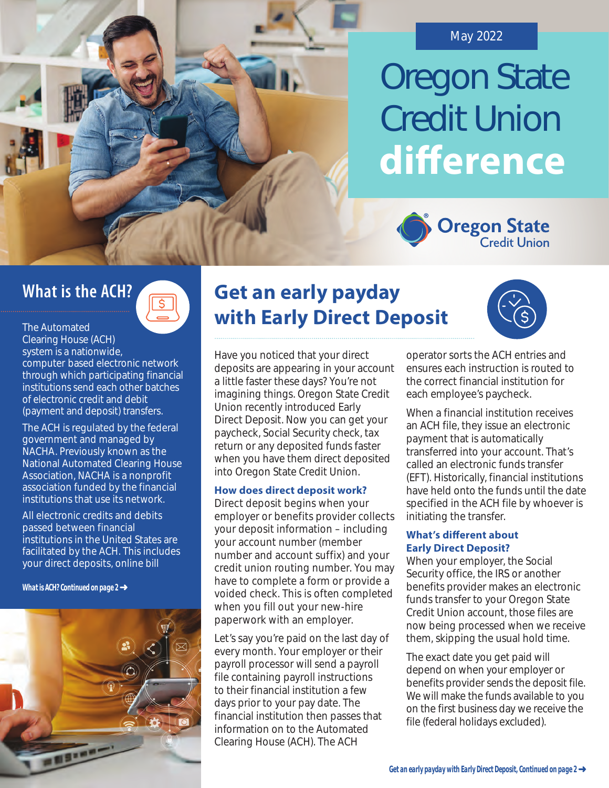

# Oregon State Credit Union **diference**



## **What is the ACH?**



- computer based electronic network The Automated Clearing House (ACH) system is a nationwide, through which participating financial institutions send each other batches of electronic credit and debit (payment and deposit) transfers.

The ACH is regulated by the federal government and managed by NACHA. Previously known as the National Automated Clearing House Association, NACHA is a nonprofit association funded by the financial institutions that use its network.

All electronic credits and debits passed between financial institutions in the United States are facilitated by the ACH. This includes your direct deposits, online bill

*What is ACH? Continued on page 2* 



## **Get an early payday with Early Direct Deposit**



Have you noticed that your direct deposits are appearing in your account a little faster these days? You're not imagining things. Oregon State Credit Union recently introduced Early Direct Deposit. Now you can get your paycheck, Social Security check, tax return or any deposited funds faster when you have them direct deposited into Oregon State Credit Union.

#### **How does direct deposit work?**

Direct deposit begins when your employer or benefits provider collects your deposit information – including your account number (member number and account suffix) and your credit union routing number. You may have to complete a form or provide a voided check. This is often completed when you fill out your new-hire paperwork with an employer.

Let's say you're paid on the last day of every month. Your employer or their payroll processor will send a payroll file containing payroll instructions to their financial institution a few days prior to your pay date. The financial institution then passes that information on to the Automated Clearing House (ACH). The ACH

operator sorts the ACH entries and ensures each instruction is routed to the correct financial institution for each employee's paycheck.

 initiating the transfer. When a financial institution receives an ACH file, they issue an electronic payment that is automatically transferred into your account. That's called an electronic funds transfer (EFT). Historically, financial institutions have held onto the funds until the date specified in the ACH file by whoever is

#### **What's diferent about Early Direct Deposit?**

When your employer, the Social Security office, the IRS or another benefits provider makes an electronic funds transfer to your Oregon State Credit Union account, those files are now being processed when we receive them, skipping the usual hold time.

The exact date you get paid will depend on when your employer or benefits provider sends the deposit file. We will make the funds available to you on the first business day we receive the file (federal holidays excluded).